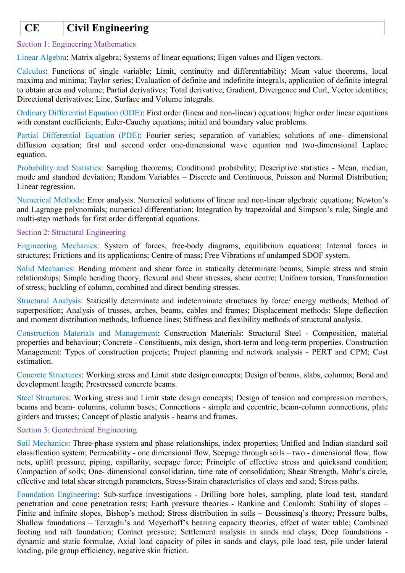# **CE Civil Engineering**

# Section 1: Engineering Mathematics

Linear Algebra: Matrix algebra; Systems of linear equations; Eigen values and Eigen vectors.

Calculus: Functions of single variable; Limit, continuity and differentiability; Mean value theorems, local maxima and minima; Taylor series; Evaluation of definite and indefinite integrals, application of definite integral to obtain area and volume; Partial derivatives; Total derivative; Gradient, Divergence and Curl, Vector identities; Directional derivatives; Line, Surface and Volume integrals.

Ordinary Differential Equation (ODE): First order (linear and non-linear) equations; higher order linear equations with constant coefficients; Euler-Cauchy equations; initial and boundary value problems.

Partial Differential Equation (PDE): Fourier series; separation of variables; solutions of one- dimensional diffusion equation; first and second order one-dimensional wave equation and two-dimensional Laplace equation.

Probability and Statistics: Sampling theorems; Conditional probability; Descriptive statistics - Mean, median, mode and standard deviation; Random Variables – Discrete and Continuous, Poisson and Normal Distribution; Linear regression.

Numerical Methods: Error analysis. Numerical solutions of linear and non-linear algebraic equations; Newton's and Lagrange polynomials; numerical differentiation; Integration by trapezoidal and Simpson's rule; Single and multi-step methods for first order differential equations.

# Section 2: Structural Engineering

Engineering Mechanics: System of forces, free-body diagrams, equilibrium equations; Internal forces in structures; Frictions and its applications; Centre of mass; Free Vibrations of undamped SDOF system.

Solid Mechanics: Bending moment and shear force in statically determinate beams; Simple stress and strain relationships; Simple bending theory, flexural and shear stresses, shear centre; Uniform torsion, Transformation of stress; buckling of column, combined and direct bending stresses.

Structural Analysis: Statically determinate and indeterminate structures by force/ energy methods; Method of superposition; Analysis of trusses, arches, beams, cables and frames; Displacement methods: Slope deflection and moment distribution methods; Influence lines; Stiffness and flexibility methods of structural analysis.

Construction Materials and Management: Construction Materials: Structural Steel - Composition, material properties and behaviour; Concrete - Constituents, mix design, short-term and long-term properties. Construction Management: Types of construction projects; Project planning and network analysis - PERT and CPM; Cost estimation.

Concrete Structures: Working stress and Limit state design concepts; Design of beams, slabs, columns; Bond and development length; Prestressed concrete beams.

Steel Structures: Working stress and Limit state design concepts; Design of tension and compression members, beams and beam- columns, column bases; Connections - simple and eccentric, beam-column connections, plate girders and trusses; Concept of plastic analysis - beams and frames.

## Section 3: Geotechnical Engineering

Soil Mechanics: Three-phase system and phase relationships, index properties; Unified and Indian standard soil classification system; Permeability - one dimensional flow, Seepage through soils – two - dimensional flow, flow nets, uplift pressure, piping, capillarity, seepage force; Principle of effective stress and quicksand condition; Compaction of soils; One- dimensional consolidation, time rate of consolidation; Shear Strength, Mohr's circle, effective and total shear strength parameters, Stress-Strain characteristics of clays and sand; Stress paths.

Foundation Engineering: Sub-surface investigations - Drilling bore holes, sampling, plate load test, standard penetration and cone penetration tests; Earth pressure theories - Rankine and Coulomb; Stability of slopes – Finite and infinite slopes, Bishop's method; Stress distribution in soils – Boussinesq's theory; Pressure bulbs, Shallow foundations – Terzaghi's and Meyerhoff's bearing capacity theories, effect of water table; Combined footing and raft foundation; Contact pressure; Settlement analysis in sands and clays; Deep foundations dynamic and static formulae, Axial load capacity of piles in sands and clays, pile load test, pile under lateral loading, pile group efficiency, negative skin friction.